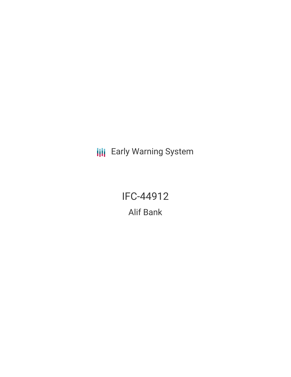**III** Early Warning System

IFC-44912 Alif Bank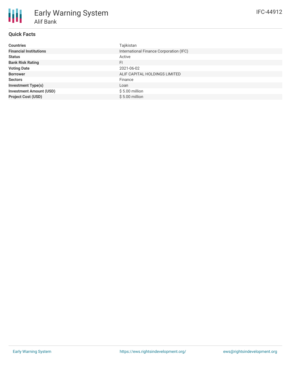# **Quick Facts**

| <b>Countries</b>               | Tajikistan                              |
|--------------------------------|-----------------------------------------|
| <b>Financial Institutions</b>  | International Finance Corporation (IFC) |
| <b>Status</b>                  | Active                                  |
| <b>Bank Risk Rating</b>        | <b>FI</b>                               |
| <b>Voting Date</b>             | 2021-06-02                              |
| <b>Borrower</b>                | ALIF CAPITAL HOLDINGS LIMITED           |
| <b>Sectors</b>                 | Finance                                 |
| <b>Investment Type(s)</b>      | Loan                                    |
| <b>Investment Amount (USD)</b> | $$5.00$ million                         |
| <b>Project Cost (USD)</b>      | $$5.00$ million                         |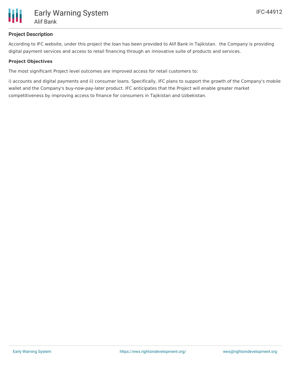

# **Project Description**

According to IFC website, under this project the loan has been provided to Alif Bank in Tajikistan. the Company is providing digital payment services and access to retail financing through an innovative suite of products and services.

### **Project Objectives**

The most significant Project level outcomes are improved access for retail customers to:

i) accounts and digital payments and ii) consumer loans. Specifically, IFC plans to support the growth of the Company's mobile wallet and the Company's buy-now-pay-later product. IFC anticipates that the Project will enable greater market competitiveness by improving access to finance for consumers in Tajikistan and Uzbekistan.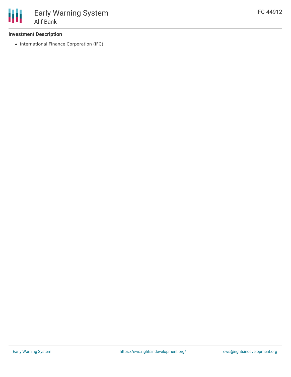# **Investment Description**

• International Finance Corporation (IFC)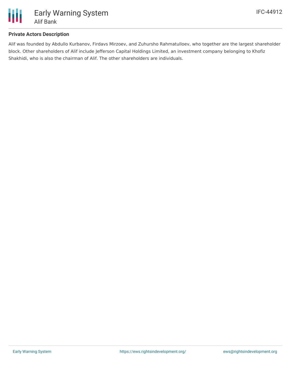

# **Private Actors Description**

Alif was founded by Abdullo Kurbanov, Firdavs Mirzoev, and Zuhursho Rahmatulloev, who together are the largest shareholder block. Other shareholders of Alif include Jefferson Capital Holdings Limited, an investment company belonging to Khofiz Shakhidi, who is also the chairman of Alif. The other shareholders are individuals.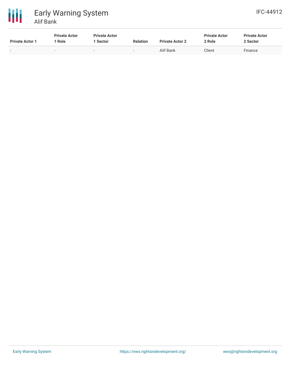



| <b>Private Actor 1</b> | <b>Private Actor</b><br>' Role | <b>Private Actor</b><br>1 Sector | <b>Relation</b> | <b>Private Actor 2</b> | <b>Private Actor</b><br>2 Role | <b>Private Actor</b><br>2 Sector |
|------------------------|--------------------------------|----------------------------------|-----------------|------------------------|--------------------------------|----------------------------------|
| $\sim$                 |                                | $\sim$                           | $\sim$          | Alif Bank              | Client                         | Finance                          |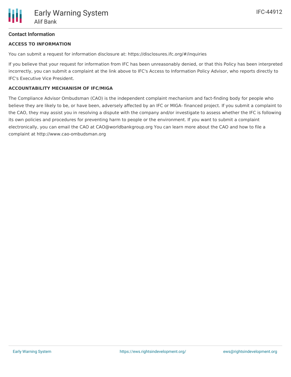# **Contact Information**

### **ACCESS TO INFORMATION**

You can submit a request for information disclosure at: https://disclosures.ifc.org/#/inquiries

If you believe that your request for information from IFC has been unreasonably denied, or that this Policy has been interpreted incorrectly, you can submit a complaint at the link above to IFC's Access to Information Policy Advisor, who reports directly to IFC's Executive Vice President.

#### **ACCOUNTABILITY MECHANISM OF IFC/MIGA**

The Compliance Advisor Ombudsman (CAO) is the independent complaint mechanism and fact-finding body for people who believe they are likely to be, or have been, adversely affected by an IFC or MIGA- financed project. If you submit a complaint to the CAO, they may assist you in resolving a dispute with the company and/or investigate to assess whether the IFC is following its own policies and procedures for preventing harm to people or the environment. If you want to submit a complaint electronically, you can email the CAO at CAO@worldbankgroup.org You can learn more about the CAO and how to file a complaint at http://www.cao-ombudsman.org